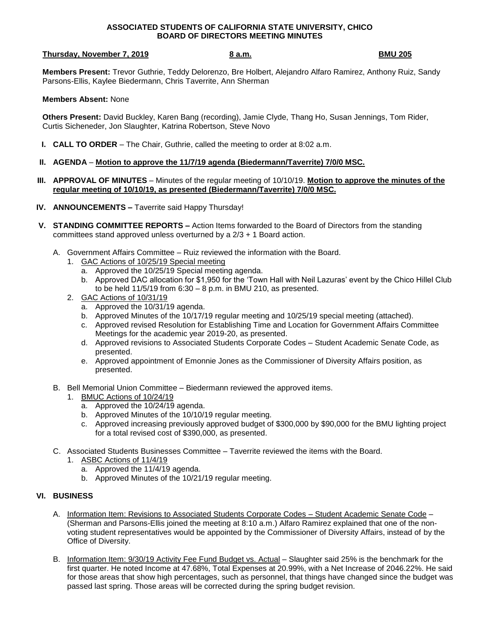#### **ASSOCIATED STUDENTS OF CALIFORNIA STATE UNIVERSITY, CHICO BOARD OF DIRECTORS MEETING MINUTES**

## **Thursday, November 7, 2019 8 a.m. BMU 205**

**Members Present:** Trevor Guthrie, Teddy Delorenzo, Bre Holbert, Alejandro Alfaro Ramirez, Anthony Ruiz, Sandy Parsons-Ellis, Kaylee Biedermann, Chris Taverrite, Ann Sherman

#### **Members Absent:** None

**Others Present:** David Buckley, Karen Bang (recording), Jamie Clyde, Thang Ho, Susan Jennings, Tom Rider, Curtis Sicheneder, Jon Slaughter, Katrina Robertson, Steve Novo

- **I. CALL TO ORDER** The Chair, Guthrie, called the meeting to order at 8:02 a.m.
- **II. AGENDA Motion to approve the 11/7/19 agenda (Biedermann/Taverrite) 7/0/0 MSC.**
- **III. APPROVAL OF MINUTES** Minutes of the regular meeting of 10/10/19. **Motion to approve the minutes of the regular meeting of 10/10/19, as presented (Biedermann/Taverrite) 7/0/0 MSC.**
- **IV. ANNOUNCEMENTS –** Taverrite said Happy Thursday!
- **V. STANDING COMMITTEE REPORTS –** Action Items forwarded to the Board of Directors from the standing committees stand approved unless overturned by a 2/3 + 1 Board action.
	- A. Government Affairs Committee Ruiz reviewed the information with the Board.
		- 1. GAC Actions of 10/25/19 Special meeting
			- a. Approved the 10/25/19 Special meeting agenda.
			- b. Approved DAC allocation for \$1,950 for the 'Town Hall with Neil Lazuras' event by the Chico Hillel Club to be held 11/5/19 from 6:30 – 8 p.m. in BMU 210, as presented.
		- 2. GAC Actions of 10/31/19
			- a. Approved the 10/31/19 agenda.
			- b. Approved Minutes of the 10/17/19 regular meeting and 10/25/19 special meeting (attached).
			- c. Approved revised Resolution for Establishing Time and Location for Government Affairs Committee Meetings for the academic year 2019-20, as presented.
			- d. Approved revisions to Associated Students Corporate Codes Student Academic Senate Code, as presented.
			- e. Approved appointment of Emonnie Jones as the Commissioner of Diversity Affairs position, as presented.
	- B. Bell Memorial Union Committee Biedermann reviewed the approved items.
		- 1. BMUC Actions of 10/24/19
			- a. Approved the 10/24/19 agenda.
			- b. Approved Minutes of the 10/10/19 regular meeting.
			- c. Approved increasing previously approved budget of \$300,000 by \$90,000 for the BMU lighting project for a total revised cost of \$390,000, as presented.
	- C. Associated Students Businesses Committee Taverrite reviewed the items with the Board.
		- 1. ASBC Actions of 11/4/19
			- a. Approved the 11/4/19 agenda.
			- b. Approved Minutes of the 10/21/19 regular meeting.

## **VI. BUSINESS**

- A. Information Item: Revisions to Associated Students Corporate Codes Student Academic Senate Code (Sherman and Parsons-Ellis joined the meeting at 8:10 a.m.) Alfaro Ramirez explained that one of the nonvoting student representatives would be appointed by the Commissioner of Diversity Affairs, instead of by the Office of Diversity.
- B. Information Item: 9/30/19 Activity Fee Fund Budget vs. Actual Slaughter said 25% is the benchmark for the first quarter. He noted Income at 47.68%, Total Expenses at 20.99%, with a Net Increase of 2046.22%. He said for those areas that show high percentages, such as personnel, that things have changed since the budget was passed last spring. Those areas will be corrected during the spring budget revision.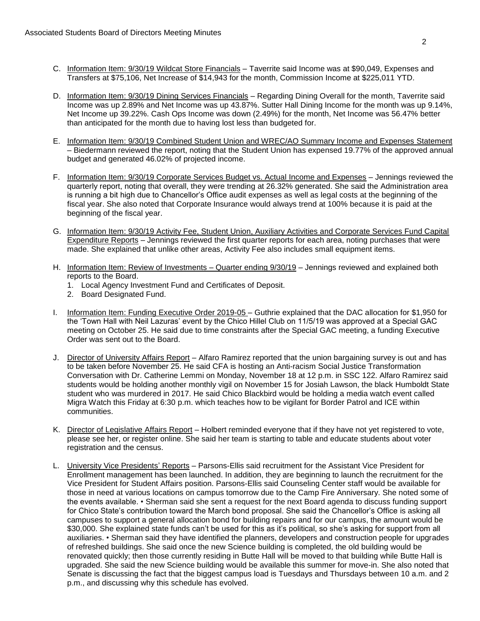- C. Information Item: 9/30/19 Wildcat Store Financials Taverrite said Income was at \$90,049, Expenses and Transfers at \$75,106, Net Increase of \$14,943 for the month, Commission Income at \$225,011 YTD.
- D. Information Item: 9/30/19 Dining Services Financials Regarding Dining Overall for the month, Taverrite said Income was up 2.89% and Net Income was up 43.87%. Sutter Hall Dining Income for the month was up 9.14%, Net Income up 39.22%. Cash Ops Income was down (2.49%) for the month, Net Income was 56.47% better than anticipated for the month due to having lost less than budgeted for.
- E. Information Item: 9/30/19 Combined Student Union and WREC/AO Summary Income and Expenses Statement – Biedermann reviewed the report, noting that the Student Union has expensed 19.77% of the approved annual budget and generated 46.02% of projected income.
- F. Information Item: 9/30/19 Corporate Services Budget vs. Actual Income and Expenses Jennings reviewed the quarterly report, noting that overall, they were trending at 26.32% generated. She said the Administration area is running a bit high due to Chancellor's Office audit expenses as well as legal costs at the beginning of the fiscal year. She also noted that Corporate Insurance would always trend at 100% because it is paid at the beginning of the fiscal year.
- G. Information Item: 9/30/19 Activity Fee, Student Union, Auxiliary Activities and Corporate Services Fund Capital Expenditure Reports – Jennings reviewed the first quarter reports for each area, noting purchases that were made. She explained that unlike other areas, Activity Fee also includes small equipment items.
- H. Information Item: Review of Investments Quarter ending 9/30/19 Jennings reviewed and explained both reports to the Board.
	- 1. Local Agency Investment Fund and Certificates of Deposit.
	- 2. Board Designated Fund.
- I. Information Item: Funding Executive Order 2019-05 Guthrie explained that the DAC allocation for \$1,950 for the 'Town Hall with Neil Lazuras' event by the Chico Hillel Club on 11/5/19 was approved at a Special GAC meeting on October 25. He said due to time constraints after the Special GAC meeting, a funding Executive Order was sent out to the Board.
- J. Director of University Affairs Report Alfaro Ramirez reported that the union bargaining survey is out and has to be taken before November 25. He said CFA is hosting an Anti-racism Social Justice Transformation Conversation with Dr. Catherine Lemmi on Monday, November 18 at 12 p.m. in SSC 122. Alfaro Ramirez said students would be holding another monthly vigil on November 15 for Josiah Lawson, the black Humboldt State student who was murdered in 2017. He said Chico Blackbird would be holding a media watch event called Migra Watch this Friday at 6:30 p.m. which teaches how to be vigilant for Border Patrol and ICE within communities.
- K. Director of Legislative Affairs Report Holbert reminded everyone that if they have not yet registered to vote, please see her, or register online. She said her team is starting to table and educate students about voter registration and the census.
- L. University Vice Presidents' Reports Parsons-Ellis said recruitment for the Assistant Vice President for Enrollment management has been launched. In addition, they are beginning to launch the recruitment for the Vice President for Student Affairs position. Parsons-Ellis said Counseling Center staff would be available for those in need at various locations on campus tomorrow due to the Camp Fire Anniversary. She noted some of the events available. • Sherman said she sent a request for the next Board agenda to discuss funding support for Chico State's contribution toward the March bond proposal. She said the Chancellor's Office is asking all campuses to support a general allocation bond for building repairs and for our campus, the amount would be \$30,000. She explained state funds can't be used for this as it's political, so she's asking for support from all auxiliaries. • Sherman said they have identified the planners, developers and construction people for upgrades of refreshed buildings. She said once the new Science building is completed, the old building would be renovated quickly; then those currently residing in Butte Hall will be moved to that building while Butte Hall is upgraded. She said the new Science building would be available this summer for move-in. She also noted that Senate is discussing the fact that the biggest campus load is Tuesdays and Thursdays between 10 a.m. and 2 p.m., and discussing why this schedule has evolved.